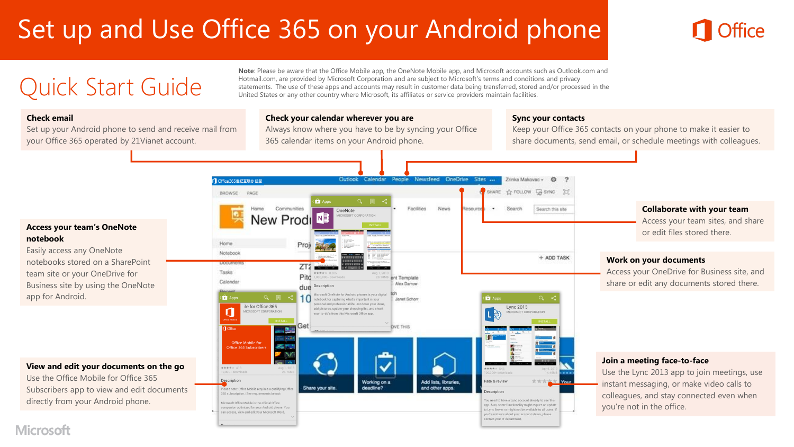# Set up and Use Office 365 on your Android phone

**Note**: Please be aware that the Office Mobile app, the OneNote Mobile app, and Microsoft accounts such as Outlook.com and Hotmail.com, are provided by Microsoft Corporation and are subject to Microsoft's terms and conditions and privacy statements. The use of these apps and accounts may result in customer data being transferred, stored and/or processed in the United States or any other country where Microsoft, its affiliates or service providers maintain facilities.

#### **Check email**

Set up your Android phone to send and receive mail from your Office 365 operated by 21Vianet account.

Quick Start Guide

#### **Check your calendar wherever you are**

Always know where you have to be by syncing your Office 365 calendar items on your Android phone.

#### **Sync your contacts**

Keep your Office 365 contacts on your phone to make it easier to share documents, send email, or schedule meetings with colleagues.

#### **Access your team's OneNote notebook**

Easily access any OneNote notebooks stored on a SharePoint team site or your OneDrive for Business site by using the OneNote app for Android.

#### **View and edit your documents on the go**

Use the Office Mobile for Office 365 Subscribers app to view and edit documents directly from your Android phone.



#### **Microsoft**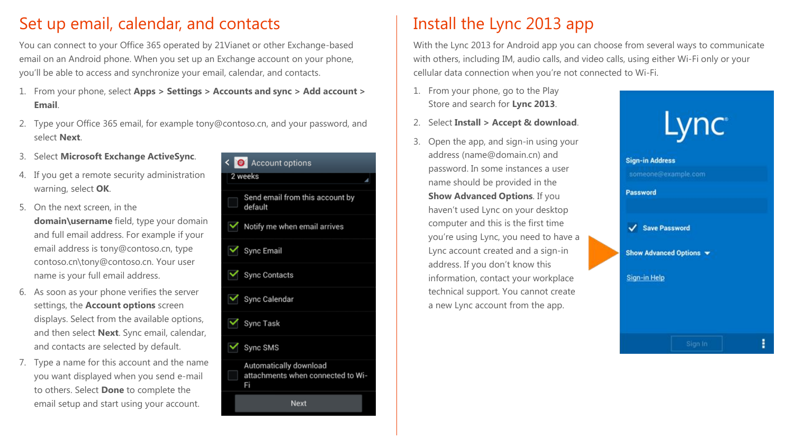### Set up email, calendar, and contacts

You can connect to your Office 365 operated by 21Vianet or other Exchange-based email on an Android phone. When you set up an Exchange account on your phone, you'll be able to access and synchronize your email, calendar, and contacts.

- 1. From your phone, select **Apps > Settings > Accounts and sync > Add account > Email**.
- 2. Type your Office 365 email, for example tony@contoso.cn, and your password, and select **Next**.
- 3. Select **Microsoft Exchange ActiveSync**.
- 4. If you get a remote security administration warning, select **OK**.
- 5. On the next screen, in the **domain\username** field, type your domain and full email address. For example if your email address is tony@contoso.cn, type contoso.cn\tony@contoso.cn. Your user name is your full email address.
- 6. As soon as your phone verifies the server settings, the **Account options** screen displays. Select from the available options, and then select **Next**. Sync email, calendar, and contacts are selected by default.
- 7. Type a name for this account and the name you want displayed when you send e-mail to others. Select **Done** to complete the email setup and start using your account.



### Install the Lync 2013 app

With the Lync 2013 for Android app you can choose from several ways to communicate with others, including IM, audio calls, and video calls, using either Wi-Fi only or your cellular data connection when you're not connected to Wi-Fi.

- 1. From your phone, go to the Play Store and search for **Lync 2013**.
- 2. Select **Install > Accept & download**.
- 3. Open the app, and sign-in using your address (name@domain.cn) and password. In some instances a user name should be provided in the **Show Advanced Options**. If you haven't used Lync on your desktop computer and this is the first time you're using Lync, you need to have a Lync account created and a sign-in address. If you don't know this information, contact your workplace technical support. You cannot create a new Lync account from the app.

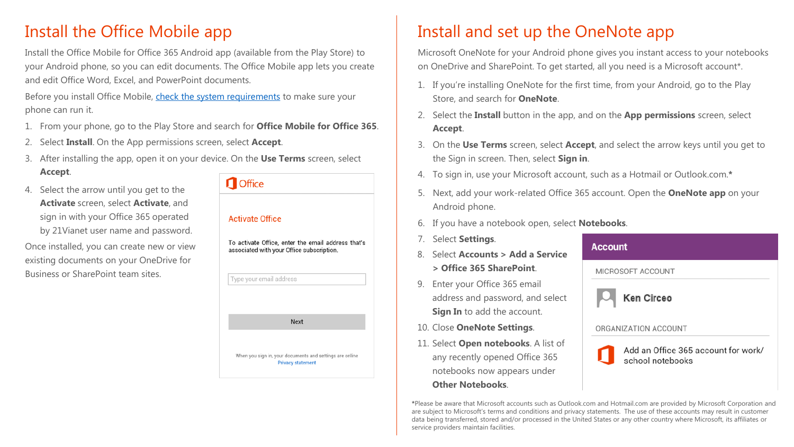### Install the Office Mobile app

Install the Office Mobile for Office 365 Android app (available from the Play Store) to your Android phone, so you can edit documents. The Office Mobile app lets you create and edit Office Word, Excel, and PowerPoint documents.

Before you install Office Mobile, [check the system requirements](http://office.microsoft.com/en-us/mobile/system-requirements-for-onenote-and-office-mobile-for-android-phones-HA104050286.aspx?CTT=1) to make sure your phone can run it.

- 1. From your phone, go to the Play Store and search for **Office Mobile for Office 365**.
- 2. Select **Install**. On the App permissions screen, select **Accept**.
- 3. After installing the app, open it on your device. On the **Use Terms** screen, select **Accept**.
- 4. Select the arrow until you get to the **Activate** screen, select **Activate**, and sign in with your Office 365 operated by 21Vianet user name and password.

Once installed, you can create new or view existing documents on your OneDrive for Business or SharePoint team sites.

# **n** Office **Activate Office**

To activate Office, enter the email address that's associated with your Office subscription.



## Install and set up the OneNote app

Microsoft OneNote for your Android phone gives you instant access to your notebooks on OneDrive and SharePoint. To get started, all you need is a Microsoft account\*.

- 1. If you're installing OneNote for the first time, from your Android, go to the Play Store, and search for **OneNote**.
- 2. Select the **Install** button in the app, and on the **App permissions** screen, select **Accept**.
- 3. On the **Use Terms** screen, select **Accept**, and select the arrow keys until you get to the Sign in screen. Then, select **Sign in**.
- 4. To sign in, use your Microsoft account, such as a Hotmail or Outlook.com.**\***
- 5. Next, add your work-related Office 365 account. Open the **OneNote app** on your Android phone.
- 6. If you have a notebook open, select **Notebooks**.
- 7. Select **Settings**.
- 8. Select **Accounts > Add a Service > Office 365 SharePoint**.
- 9. Enter your Office 365 email address and password, and select **Sign In** to add the account.
- 10. Close **OneNote Settings**.
- 11. Select **Open notebooks**. A list of any recently opened Office 365 notebooks now appears under **Other Notebooks**.





**\***Please be aware that Microsoft accounts such as Outlook.com and Hotmail.com are provided by Microsoft Corporation and are subject to Microsoft's terms and conditions and privacy statements. The use of these accounts may result in customer data being transferred, stored and/or processed in the United States or any other country where Microsoft, its affiliates or service providers maintain facilities.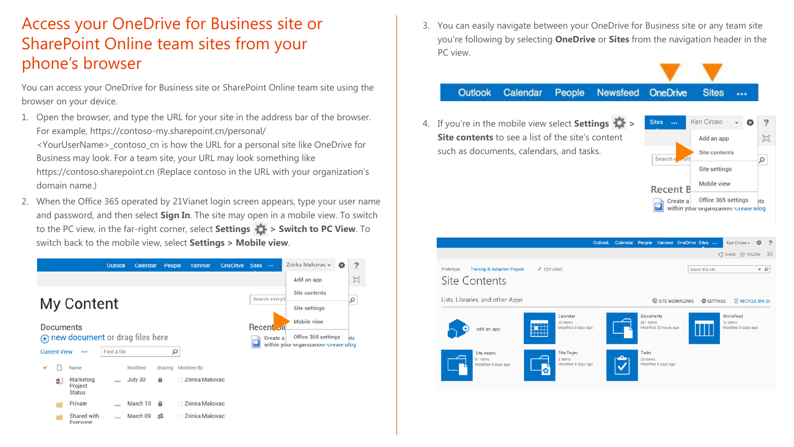### Access your OneDrive for Business site or SharePoint Online team sites from your phone's browser

You can access your OneDrive for Business site or SharePoint Online team site using the browser on your device.

- 1. Open the browser, and type the URL for your site in the address bar of the browser. For example, https://contoso-my.sharepoint.cn/personal/ <YourUserName>\_contoso\_cn is how the URL for a personal site like OneDrive for Business may look. For a team site, your URL may look something like https://contoso.sharepoint.cn (Replace contoso in the URL with your organization's domain name.)
- 2. When the Office 365 operated by 21Vianet login screen appears, type your user name and password, and then select **Sign In**. The site may open in a mobile view. To switch to the PC view, in the far-right corner, select **Settings > Switch to PC View**. To switch back to the mobile view, select **Settings > Mobile view**.



3. You can easily navigate between your OneDrive for Business site or any team site you're following by selecting **OneDrive** or **Sites** from the navigation header in the PC view.

#### **Outlook** Calendar People **Sites Newsfeed OneDrive**  $\cdots$

4. If you're in the mobile view select **Settings > Site contents** to see a list of the site's content such as documents, calendars, and tasks.



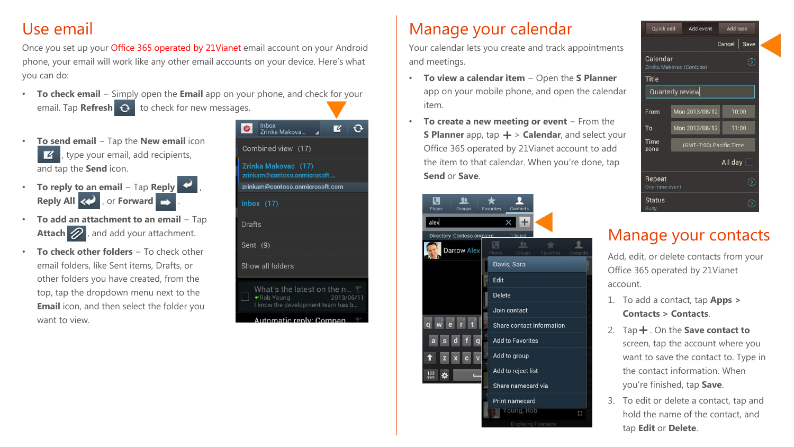### Use email

Once you set up your Office 365 operated by 21Vianet email account on your Android phone, your email will work like any other email accounts on your device. Here's what you can do:

- **To check email** − Simply open the **Email** app on your phone, and check for your email. Tap **Refresh**  $\Omega$  to check for new messages.
- **To send email** − Tap the **New email** icon , type your email, add recipients, and tap the **Send** icon.
- **To reply to an email** − Tap **Reply** , **Reply All <> , or Forward**  $\rightarrow$
- **To add an attachment to an email** − Tap Attach 2, and add your attachment.
- **To check other folders** − To check other email folders, like Sent items, Drafts, or other folders you have created, from the top, tap the dropdown menu next to the **Email** icon, and then select the folder you want to view.



### Manage your calendar

Your calendar lets you create and track appointments and meetings.

- **To view a calendar item** − Open the **S Planner**  app on your mobile phone, and open the calendar item.
- **To create a new meeting or event** − From the **S Planner** app, tap  $\bigstar$  > **Calendar**, and select your Office 365 operated by 21Vianet account to add the item to that calendar. When you're done, tap **Send** or **Save**.

| Phone<br>Groups            | Contacts<br><b>Favorites</b>        |         |
|----------------------------|-------------------------------------|---------|
| alex                       | $\overline{+}$<br>×                 |         |
| Directory Contoso.onmicro. | 1 found                             |         |
| <b>Darrow Alex</b>         | 鬼<br>Groups:<br>Favorites<br>Phone: | Contact |
|                            | Davis, Sara                         |         |
|                            | Edit                                |         |
|                            | <b>Delete</b>                       |         |
|                            | Join contact                        |         |
|                            | Share contact information           |         |
| g<br>a<br>S<br>d           | <b>Add to Favorites</b>             |         |
| Ŧ<br>z                     | Add to group                        |         |
| 123<br>×<br>Sym            | Add to reject list                  |         |
|                            | Share namecard via                  |         |
|                            | <b>Print namecard</b>               |         |
|                            | Young, Rob                          | В       |
|                            | Displaying 7 contacts               |         |



### Manage your contacts

Add, edit, or delete contacts from your Office 365 operated by 21Vianet account.

- 1. To add a contact, tap **Apps > Contacts > Contacts**.
- 2. Tap  $+$  . On the **Save contact to** screen, tap the account where you want to save the contact to. Type in the contact information. When you're finished, tap **Save**.
- 3. To edit or delete a contact, tap and hold the name of the contact, and tap **Edit** or **Delete**.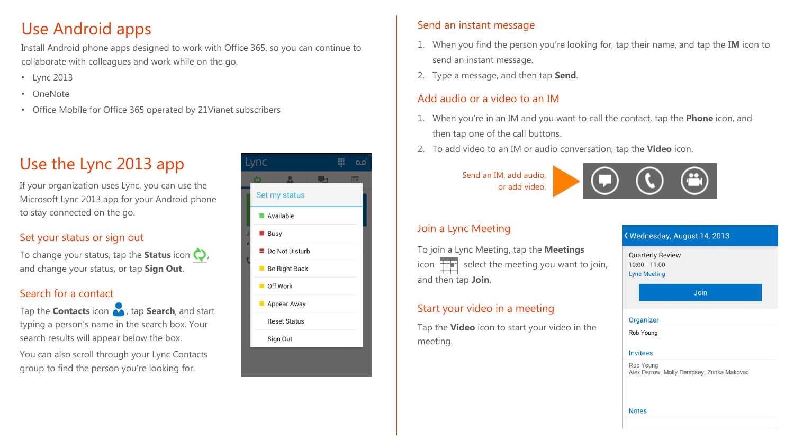### Use Android apps

Install Android phone apps designed to work with Office 365, so you can continue to collaborate with colleagues and work while on the go.

- Lync 2013
- OneNote
- Office Mobile for Office 365 operated by 21Vianet subscribers

### Use the Lync 2013 app

If your organization uses Lync, you can use the Microsoft Lync 2013 app for your Android phone to stay connected on the go.

#### Set your status or sign out

To change your status, tap the **Status** icon  $\bigcirc$ , and change your status, or tap **Sign Out**.

#### Search for a contact

Tap the **Contacts** icon **A**, tap **Search**, and start typing a person's name in the search box. Your search results will appear below the box. You can also scroll through your Lync Contacts group to find the person you're looking for.

|                         | ١C                            |  |
|-------------------------|-------------------------------|--|
|                         |                               |  |
|                         | Set my status                 |  |
|                         | Available                     |  |
|                         | <b>⊠ Busy</b>                 |  |
| $\overline{\mathsf{A}}$ | $\blacksquare$ Do Not Disturb |  |
|                         | Be Right Back                 |  |
|                         | Off Work                      |  |
|                         | <b>Appear Away</b>            |  |
|                         | <b>Reset Status</b>           |  |
|                         | Sign Out                      |  |
|                         |                               |  |

#### Send an instant message

- 1. When you find the person you're looking for, tap their name, and tap the **IM** icon to send an instant message.
- 2. Type a message, and then tap **Send**.

#### Add audio or a video to an IM

- 1. When you're in an IM and you want to call the contact, tap the **Phone** icon, and then tap one of the call buttons.
- 2. To add video to an IM or audio conversation, tap the **Video** icon.

Send an IM, add audio, or add video.



### Join a Lync Meeting

To join a Lync Meeting, tap the **Meetings** icon  $\Box$  select the meeting you want to join, and then tap **Join**.

### Start your video in a meeting

Tap the **Video** icon to start your video in the meeting.

#### K Wednesday, August 14, 2013

**Quarterly Review**  $10:00 - 11:00$ **Lync Meeting** 

Join

#### Organizer

Rob Young

#### **Invitees**

Rob Young Alex Darrow; Molly Dempsey; Zrinka Makovac

**Notes**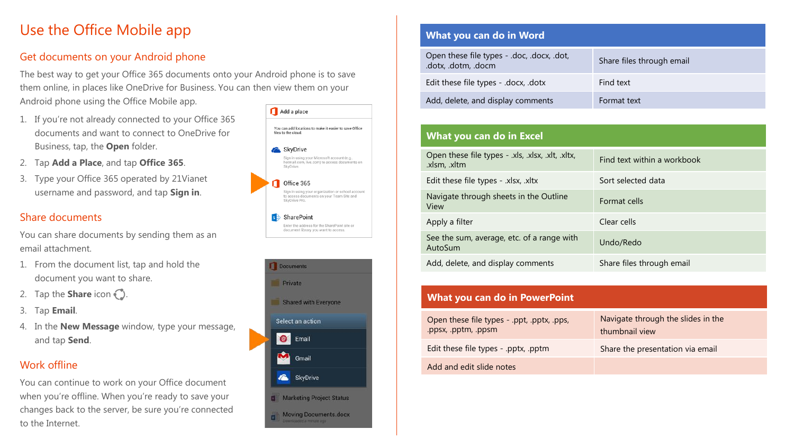### Use the Office Mobile app

#### Get documents on your Android phone

The best way to get your Office 365 documents onto your Android phone is to save them online, in places like OneDrive for Business. You can then view them on your Android phone using the Office Mobile app.

- 1. If you're not already connected to your Office 365 documents and want to connect to OneDrive for Business, tap, the **Open** folder.
- 2. Tap **Add a Place**, and tap **Office 365**.
- 3. Type your Office 365 operated by 21Vianet username and password, and tap **Sign in**.

#### Share documents

You can share documents by sending them as an email attachment.

- 1. From the document list, tap and hold the document you want to share.
- 2. Tap the **Share** icon  $\bigcirc$ .
- 3. Tap **Email**.
- 4. In the **New Message** window, type your message, and tap **Send**.

#### Work offline

You can continue to work on your Office document when you're offline. When you're ready to save your changes back to the server, be sure you're connected to the Internet.





#### **What you can do in Word**

| Open these file types - .doc, .docx, .dot,<br>.dotx, .dotm, .docm | Share files through email |
|-------------------------------------------------------------------|---------------------------|
| Edit these file types - .docx, .dotx                              | Find text                 |
| Add, delete, and display comments                                 | Format text               |

#### **What you can do in Excel**

| Open these file types - .xls, .xlsx, .xlt, .xltx,<br>.xlsm, .xltm | Find text within a workbook |
|-------------------------------------------------------------------|-----------------------------|
| Edit these file types - .xlsx, .xltx                              | Sort selected data          |
| Navigate through sheets in the Outline<br>View                    | Format cells                |
| Apply a filter                                                    | Clear cells                 |
| See the sum, average, etc. of a range with<br>AutoSum             | Undo/Redo                   |
| Add, delete, and display comments                                 | Share files through email   |

| What you can do in PowerPoint                                     |                                                      |  |  |
|-------------------------------------------------------------------|------------------------------------------------------|--|--|
| Open these file types - .ppt, .pptx, .pps,<br>.ppsx, .pptm, .ppsm | Navigate through the slides in the<br>thumbnail view |  |  |
| Edit these file types - .pptx, .pptm                              | Share the presentation via email                     |  |  |
| Add and edit slide notes                                          |                                                      |  |  |